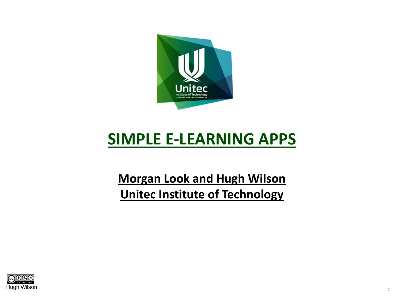

### **SIMPLE E-LEARNING APPS**

#### **Morgan Look and Hugh Wilson Unitec Institute of Technology**

1

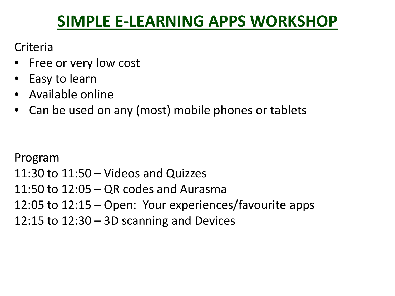### **SIMPLE E-LEARNING APPS WORKSHOP**

**Criteria** 

- Free or very low cost
- Easy to learn
- Available online
- Can be used on any (most) mobile phones or tablets

Program

11:30 to 11:50 – Videos and Quizzes 11:50 to 12:05 – QR codes and Aurasma 12:05 to 12:15 – Open: Your experiences/favourite apps 12:15 to  $12:30 - 3D$  scanning and Devices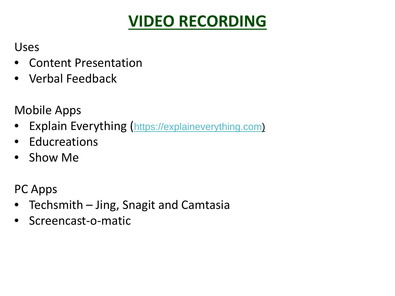## **VIDEO RECORDING**

Uses

- Content Presentation
- Verbal Feedback

Mobile Apps

- Explain Everything ([https://explaineverything.com](https://explaineverything.com/))
- Educreations
- Show Me

PC Apps

- Techsmith Jing, Snagit and Camtasia
- Screencast-o-matic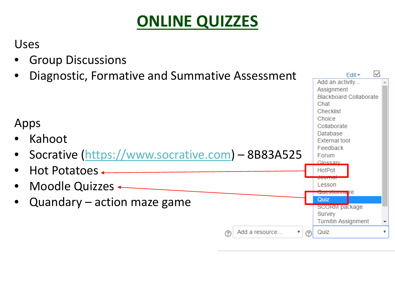### **ONLINE QUIZZES**

M

 $F$ dit  $\star$ 

#### Uses

- Group Discussions
- Diagnostic, Formative and Summative Assessment

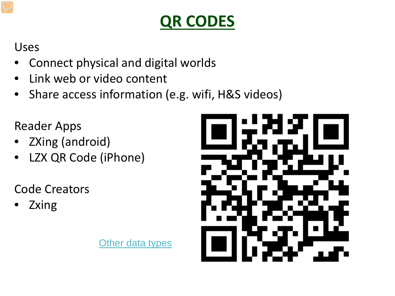# **QR CODES**

Uses

- Connect physical and digital worlds
- Link web or video content
- Share access information (e.g. wifi, H&S videos)

Reader Apps

- ZXing (android)
- LZX QR Code (iPhone)

Code Creators

• Zxing

[Other data types](https://zxing.org/w/chart?cht=qr&chs=350x350&chld=L&choe=UTF-8&chl=geo:-36.876549,174.707116%E2%80%8B)

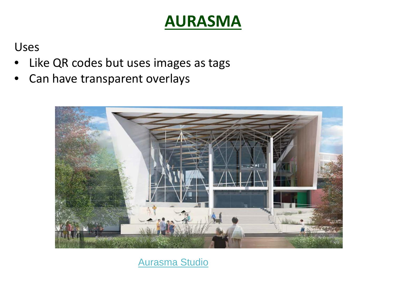#### **AURASMA**

Uses

- Like QR codes but uses images as tags
- Can have transparent overlays



[Aurasma Studio](https://studio.aurasma.com/home)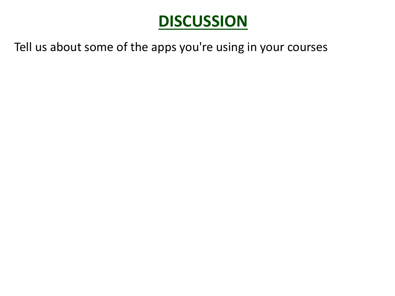### **DISCUSSION**

Tell us about some of the apps you're using in your courses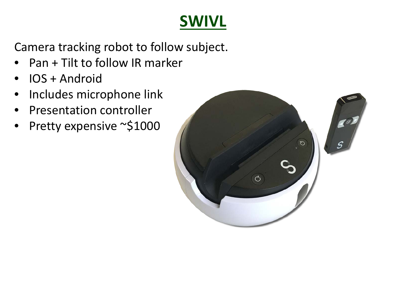## **SWIVL**

Camera tracking robot to follow subject.

- Pan + Tilt to follow IR marker
- IOS + Android
- Includes microphone link
- Presentation controller
- Pretty expensive ~\$1000

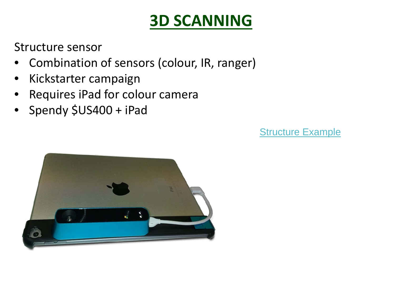## **3D SCANNING**

Structure sensor

- Combination of sensors (colour, IR, ranger)
- Kickstarter campaign
- Requires iPad for colour camera
- Spendy \$US400 + iPad

[Structure Example](https://sketchfab.com/models/c081402488e84c458b51eaf60d17b8a4)